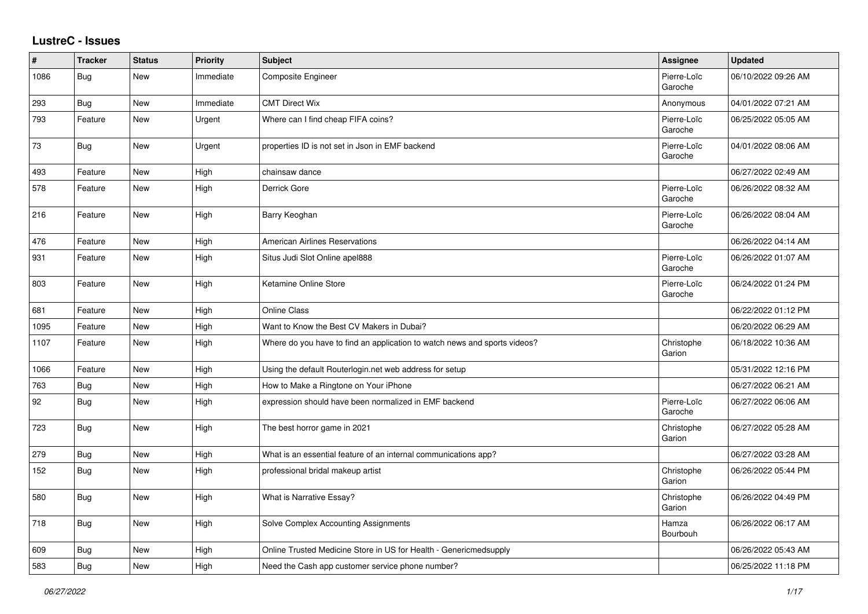## **LustreC - Issues**

| $\sharp$ | <b>Tracker</b> | <b>Status</b> | <b>Priority</b> | <b>Subject</b>                                                            | <b>Assignee</b>        | <b>Updated</b>      |
|----------|----------------|---------------|-----------------|---------------------------------------------------------------------------|------------------------|---------------------|
| 1086     | Bug            | <b>New</b>    | Immediate       | <b>Composite Engineer</b>                                                 | Pierre-Loïc<br>Garoche | 06/10/2022 09:26 AM |
| 293      | <b>Bug</b>     | <b>New</b>    | Immediate       | <b>CMT Direct Wix</b>                                                     | Anonymous              | 04/01/2022 07:21 AM |
| 793      | Feature        | New           | Urgent          | Where can I find cheap FIFA coins?                                        | Pierre-Loïc<br>Garoche | 06/25/2022 05:05 AM |
| 73       | <b>Bug</b>     | New           | Urgent          | properties ID is not set in Json in EMF backend                           | Pierre-Loïc<br>Garoche | 04/01/2022 08:06 AM |
| 493      | Feature        | New           | High            | chainsaw dance                                                            |                        | 06/27/2022 02:49 AM |
| 578      | Feature        | <b>New</b>    | High            | Derrick Gore                                                              | Pierre-Loïc<br>Garoche | 06/26/2022 08:32 AM |
| 216      | Feature        | New           | High            | Barry Keoghan                                                             | Pierre-Loïc<br>Garoche | 06/26/2022 08:04 AM |
| 476      | Feature        | <b>New</b>    | High            | <b>American Airlines Reservations</b>                                     |                        | 06/26/2022 04:14 AM |
| 931      | Feature        | <b>New</b>    | High            | Situs Judi Slot Online apel888                                            | Pierre-Loïc<br>Garoche | 06/26/2022 01:07 AM |
| 803      | Feature        | New           | High            | Ketamine Online Store                                                     | Pierre-Loïc<br>Garoche | 06/24/2022 01:24 PM |
| 681      | Feature        | <b>New</b>    | High            | <b>Online Class</b>                                                       |                        | 06/22/2022 01:12 PM |
| 1095     | Feature        | New           | High            | Want to Know the Best CV Makers in Dubai?                                 |                        | 06/20/2022 06:29 AM |
| 1107     | Feature        | New           | High            | Where do you have to find an application to watch news and sports videos? | Christophe<br>Garion   | 06/18/2022 10:36 AM |
| 1066     | Feature        | New           | High            | Using the default Routerlogin.net web address for setup                   |                        | 05/31/2022 12:16 PM |
| 763      | Bug            | New           | High            | How to Make a Ringtone on Your iPhone                                     |                        | 06/27/2022 06:21 AM |
| 92       | Bug            | New           | High            | expression should have been normalized in EMF backend                     | Pierre-Loïc<br>Garoche | 06/27/2022 06:06 AM |
| 723      | Bug            | <b>New</b>    | High            | The best horror game in 2021                                              | Christophe<br>Garion   | 06/27/2022 05:28 AM |
| 279      | <b>Bug</b>     | New           | High            | What is an essential feature of an internal communications app?           |                        | 06/27/2022 03:28 AM |
| 152      | <b>Bug</b>     | New           | High            | professional bridal makeup artist                                         | Christophe<br>Garion   | 06/26/2022 05:44 PM |
| 580      | Bug            | <b>New</b>    | High            | What is Narrative Essay?                                                  | Christophe<br>Garion   | 06/26/2022 04:49 PM |
| 718      | Bug            | New           | High            | Solve Complex Accounting Assignments                                      | Hamza<br>Bourbouh      | 06/26/2022 06:17 AM |
| 609      | <b>Bug</b>     | New           | High            | Online Trusted Medicine Store in US for Health - Genericmedsupply         |                        | 06/26/2022 05:43 AM |
| 583      | <b>Bug</b>     | <b>New</b>    | High            | Need the Cash app customer service phone number?                          |                        | 06/25/2022 11:18 PM |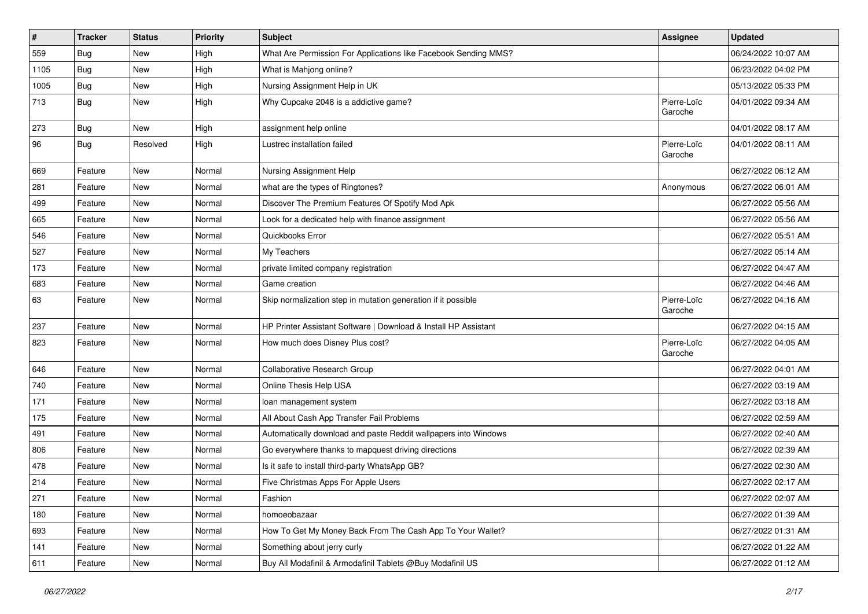| $\vert$ # | <b>Tracker</b> | <b>Status</b> | <b>Priority</b> | <b>Subject</b>                                                  | <b>Assignee</b>        | <b>Updated</b>      |
|-----------|----------------|---------------|-----------------|-----------------------------------------------------------------|------------------------|---------------------|
| 559       | <b>Bug</b>     | New           | High            | What Are Permission For Applications like Facebook Sending MMS? |                        | 06/24/2022 10:07 AM |
| 1105      | <b>Bug</b>     | <b>New</b>    | High            | What is Mahjong online?                                         |                        | 06/23/2022 04:02 PM |
| 1005      | Bug            | New           | High            | Nursing Assignment Help in UK                                   |                        | 05/13/2022 05:33 PM |
| 713       | <b>Bug</b>     | <b>New</b>    | High            | Why Cupcake 2048 is a addictive game?                           | Pierre-Loïc<br>Garoche | 04/01/2022 09:34 AM |
| 273       | <b>Bug</b>     | New           | High            | assignment help online                                          |                        | 04/01/2022 08:17 AM |
| 96        | <b>Bug</b>     | Resolved      | High            | Lustrec installation failed                                     | Pierre-Loïc<br>Garoche | 04/01/2022 08:11 AM |
| 669       | Feature        | New           | Normal          | Nursing Assignment Help                                         |                        | 06/27/2022 06:12 AM |
| 281       | Feature        | <b>New</b>    | Normal          | what are the types of Ringtones?                                | Anonymous              | 06/27/2022 06:01 AM |
| 499       | Feature        | New           | Normal          | Discover The Premium Features Of Spotify Mod Apk                |                        | 06/27/2022 05:56 AM |
| 665       | Feature        | <b>New</b>    | Normal          | Look for a dedicated help with finance assignment               |                        | 06/27/2022 05:56 AM |
| 546       | Feature        | New           | Normal          | Quickbooks Error                                                |                        | 06/27/2022 05:51 AM |
| 527       | Feature        | New           | Normal          | My Teachers                                                     |                        | 06/27/2022 05:14 AM |
| 173       | Feature        | New           | Normal          | private limited company registration                            |                        | 06/27/2022 04:47 AM |
| 683       | Feature        | New           | Normal          | Game creation                                                   |                        | 06/27/2022 04:46 AM |
| 63        | Feature        | New           | Normal          | Skip normalization step in mutation generation if it possible   | Pierre-Loïc<br>Garoche | 06/27/2022 04:16 AM |
| 237       | Feature        | New           | Normal          | HP Printer Assistant Software   Download & Install HP Assistant |                        | 06/27/2022 04:15 AM |
| 823       | Feature        | New           | Normal          | How much does Disney Plus cost?                                 | Pierre-Loïc<br>Garoche | 06/27/2022 04:05 AM |
| 646       | Feature        | New           | Normal          | Collaborative Research Group                                    |                        | 06/27/2022 04:01 AM |
| 740       | Feature        | <b>New</b>    | Normal          | Online Thesis Help USA                                          |                        | 06/27/2022 03:19 AM |
| 171       | Feature        | New           | Normal          | loan management system                                          |                        | 06/27/2022 03:18 AM |
| 175       | Feature        | New           | Normal          | All About Cash App Transfer Fail Problems                       |                        | 06/27/2022 02:59 AM |
| 491       | Feature        | New           | Normal          | Automatically download and paste Reddit wallpapers into Windows |                        | 06/27/2022 02:40 AM |
| 806       | Feature        | New           | Normal          | Go everywhere thanks to mapquest driving directions             |                        | 06/27/2022 02:39 AM |
| 478       | Feature        | <b>New</b>    | Normal          | Is it safe to install third-party WhatsApp GB?                  |                        | 06/27/2022 02:30 AM |
| 214       | Feature        | <b>New</b>    | Normal          | Five Christmas Apps For Apple Users                             |                        | 06/27/2022 02:17 AM |
| 271       | Feature        | New           | Normal          | Fashion                                                         |                        | 06/27/2022 02:07 AM |
| 180       | Feature        | New           | Normal          | homoeobazaar                                                    |                        | 06/27/2022 01:39 AM |
| 693       | Feature        | New           | Normal          | How To Get My Money Back From The Cash App To Your Wallet?      |                        | 06/27/2022 01:31 AM |
| 141       | Feature        | New           | Normal          | Something about jerry curly                                     |                        | 06/27/2022 01:22 AM |
| 611       | Feature        | New           | Normal          | Buy All Modafinil & Armodafinil Tablets @Buy Modafinil US       |                        | 06/27/2022 01:12 AM |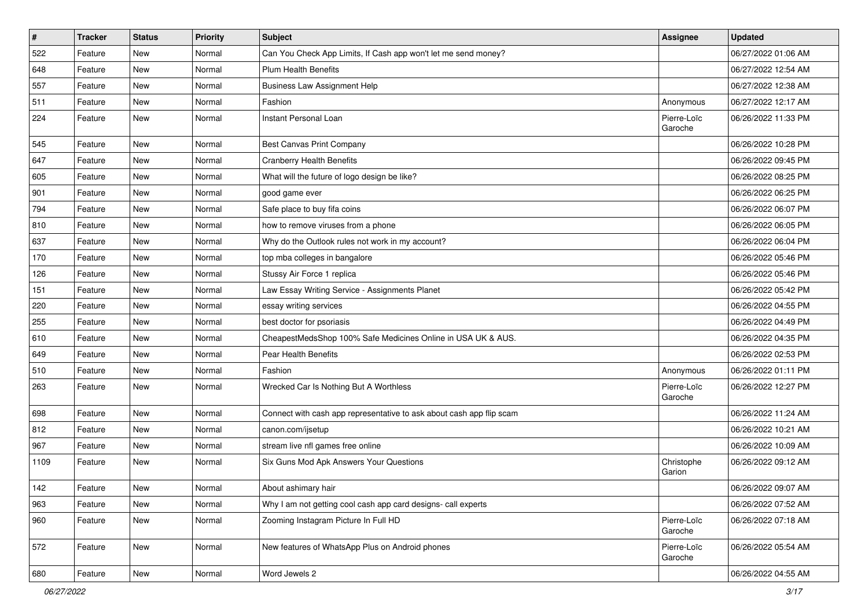| $\vert$ # | <b>Tracker</b> | <b>Status</b> | <b>Priority</b> | <b>Subject</b>                                                       | Assignee               | <b>Updated</b>      |
|-----------|----------------|---------------|-----------------|----------------------------------------------------------------------|------------------------|---------------------|
| 522       | Feature        | New           | Normal          | Can You Check App Limits, If Cash app won't let me send money?       |                        | 06/27/2022 01:06 AM |
| 648       | Feature        | <b>New</b>    | Normal          | <b>Plum Health Benefits</b>                                          |                        | 06/27/2022 12:54 AM |
| 557       | Feature        | New           | Normal          | <b>Business Law Assignment Help</b>                                  |                        | 06/27/2022 12:38 AM |
| 511       | Feature        | New           | Normal          | Fashion                                                              | Anonymous              | 06/27/2022 12:17 AM |
| 224       | Feature        | New           | Normal          | Instant Personal Loan                                                | Pierre-Loïc<br>Garoche | 06/26/2022 11:33 PM |
| 545       | Feature        | New           | Normal          | <b>Best Canvas Print Company</b>                                     |                        | 06/26/2022 10:28 PM |
| 647       | Feature        | New           | Normal          | <b>Cranberry Health Benefits</b>                                     |                        | 06/26/2022 09:45 PM |
| 605       | Feature        | New           | Normal          | What will the future of logo design be like?                         |                        | 06/26/2022 08:25 PM |
| 901       | Feature        | <b>New</b>    | Normal          | good game ever                                                       |                        | 06/26/2022 06:25 PM |
| 794       | Feature        | New           | Normal          | Safe place to buy fifa coins                                         |                        | 06/26/2022 06:07 PM |
| 810       | Feature        | New           | Normal          | how to remove viruses from a phone                                   |                        | 06/26/2022 06:05 PM |
| 637       | Feature        | New           | Normal          | Why do the Outlook rules not work in my account?                     |                        | 06/26/2022 06:04 PM |
| 170       | Feature        | New           | Normal          | top mba colleges in bangalore                                        |                        | 06/26/2022 05:46 PM |
| 126       | Feature        | <b>New</b>    | Normal          | Stussy Air Force 1 replica                                           |                        | 06/26/2022 05:46 PM |
| 151       | Feature        | New           | Normal          | Law Essay Writing Service - Assignments Planet                       |                        | 06/26/2022 05:42 PM |
| 220       | Feature        | New           | Normal          | essay writing services                                               |                        | 06/26/2022 04:55 PM |
| 255       | Feature        | New           | Normal          | best doctor for psoriasis                                            |                        | 06/26/2022 04:49 PM |
| 610       | Feature        | New           | Normal          | CheapestMedsShop 100% Safe Medicines Online in USA UK & AUS.         |                        | 06/26/2022 04:35 PM |
| 649       | Feature        | New           | Normal          | Pear Health Benefits                                                 |                        | 06/26/2022 02:53 PM |
| 510       | Feature        | New           | Normal          | Fashion                                                              | Anonymous              | 06/26/2022 01:11 PM |
| 263       | Feature        | New           | Normal          | Wrecked Car Is Nothing But A Worthless                               | Pierre-Loïc<br>Garoche | 06/26/2022 12:27 PM |
| 698       | Feature        | New           | Normal          | Connect with cash app representative to ask about cash app flip scam |                        | 06/26/2022 11:24 AM |
| 812       | Feature        | New           | Normal          | canon.com/ijsetup                                                    |                        | 06/26/2022 10:21 AM |
| 967       | Feature        | New           | Normal          | stream live nfl games free online                                    |                        | 06/26/2022 10:09 AM |
| 1109      | Feature        | New           | Normal          | Six Guns Mod Apk Answers Your Questions                              | Christophe<br>Garion   | 06/26/2022 09:12 AM |
| 142       | Feature        | New           | Normal          | About ashimary hair                                                  |                        | 06/26/2022 09:07 AM |
| 963       | Feature        | New           | Normal          | Why I am not getting cool cash app card designs- call experts        |                        | 06/26/2022 07:52 AM |
| 960       | Feature        | New           | Normal          | Zooming Instagram Picture In Full HD                                 | Pierre-Loïc<br>Garoche | 06/26/2022 07:18 AM |
| 572       | Feature        | New           | Normal          | New features of WhatsApp Plus on Android phones                      | Pierre-Loïc<br>Garoche | 06/26/2022 05:54 AM |
| 680       | Feature        | New           | Normal          | Word Jewels 2                                                        |                        | 06/26/2022 04:55 AM |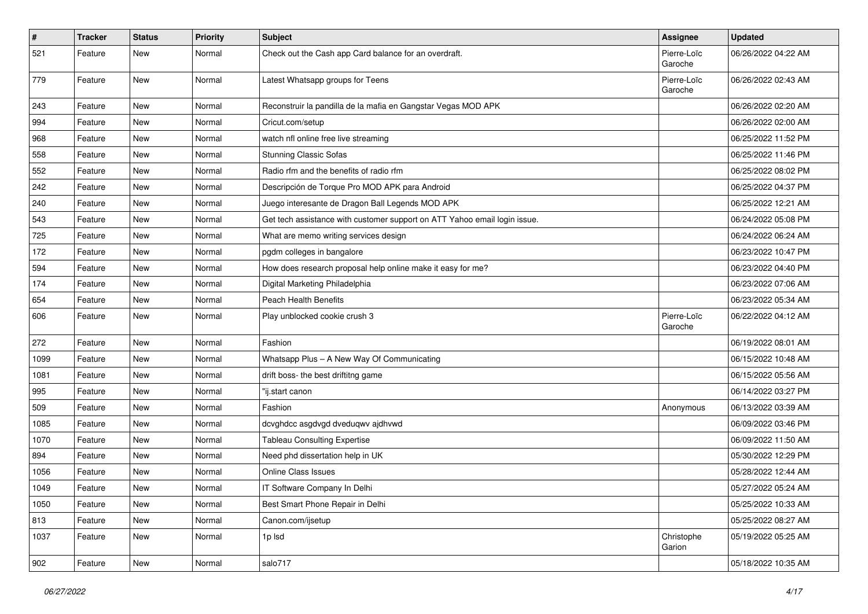| $\pmb{\#}$ | <b>Tracker</b> | <b>Status</b> | <b>Priority</b> | <b>Subject</b>                                                            | <b>Assignee</b>        | <b>Updated</b>      |
|------------|----------------|---------------|-----------------|---------------------------------------------------------------------------|------------------------|---------------------|
| 521        | Feature        | New           | Normal          | Check out the Cash app Card balance for an overdraft.                     | Pierre-Loïc<br>Garoche | 06/26/2022 04:22 AM |
| 779        | Feature        | <b>New</b>    | Normal          | Latest Whatsapp groups for Teens                                          | Pierre-Loïc<br>Garoche | 06/26/2022 02:43 AM |
| 243        | Feature        | New           | Normal          | Reconstruir la pandilla de la mafia en Gangstar Vegas MOD APK             |                        | 06/26/2022 02:20 AM |
| 994        | Feature        | New           | Normal          | Cricut.com/setup                                                          |                        | 06/26/2022 02:00 AM |
| 968        | Feature        | <b>New</b>    | Normal          | watch nfl online free live streaming                                      |                        | 06/25/2022 11:52 PM |
| 558        | Feature        | New           | Normal          | <b>Stunning Classic Sofas</b>                                             |                        | 06/25/2022 11:46 PM |
| 552        | Feature        | <b>New</b>    | Normal          | Radio rfm and the benefits of radio rfm                                   |                        | 06/25/2022 08:02 PM |
| 242        | Feature        | <b>New</b>    | Normal          | Descripción de Torque Pro MOD APK para Android                            |                        | 06/25/2022 04:37 PM |
| 240        | Feature        | New           | Normal          | Juego interesante de Dragon Ball Legends MOD APK                          |                        | 06/25/2022 12:21 AM |
| 543        | Feature        | <b>New</b>    | Normal          | Get tech assistance with customer support on ATT Yahoo email login issue. |                        | 06/24/2022 05:08 PM |
| 725        | Feature        | New           | Normal          | What are memo writing services design                                     |                        | 06/24/2022 06:24 AM |
| 172        | Feature        | New           | Normal          | pgdm colleges in bangalore                                                |                        | 06/23/2022 10:47 PM |
| 594        | Feature        | <b>New</b>    | Normal          | How does research proposal help online make it easy for me?               |                        | 06/23/2022 04:40 PM |
| 174        | Feature        | New           | Normal          | Digital Marketing Philadelphia                                            |                        | 06/23/2022 07:06 AM |
| 654        | Feature        | New           | Normal          | <b>Peach Health Benefits</b>                                              |                        | 06/23/2022 05:34 AM |
| 606        | Feature        | <b>New</b>    | Normal          | Play unblocked cookie crush 3                                             | Pierre-Loïc<br>Garoche | 06/22/2022 04:12 AM |
| 272        | Feature        | New           | Normal          | Fashion                                                                   |                        | 06/19/2022 08:01 AM |
| 1099       | Feature        | New           | Normal          | Whatsapp Plus - A New Way Of Communicating                                |                        | 06/15/2022 10:48 AM |
| 1081       | Feature        | <b>New</b>    | Normal          | drift boss- the best driftitng game                                       |                        | 06/15/2022 05:56 AM |
| 995        | Feature        | <b>New</b>    | Normal          | "ij.start canon                                                           |                        | 06/14/2022 03:27 PM |
| 509        | Feature        | New           | Normal          | Fashion                                                                   | Anonymous              | 06/13/2022 03:39 AM |
| 1085       | Feature        | <b>New</b>    | Normal          | dcvghdcc asgdvgd dveduqwv ajdhvwd                                         |                        | 06/09/2022 03:46 PM |
| 1070       | Feature        | New           | Normal          | <b>Tableau Consulting Expertise</b>                                       |                        | 06/09/2022 11:50 AM |
| 894        | Feature        | New           | Normal          | Need phd dissertation help in UK                                          |                        | 05/30/2022 12:29 PM |
| 1056       | Feature        | <b>New</b>    | Normal          | Online Class Issues                                                       |                        | 05/28/2022 12:44 AM |
| 1049       | Feature        | New           | Normal          | IT Software Company In Delhi                                              |                        | 05/27/2022 05:24 AM |
| 1050       | Feature        | New           | Normal          | Best Smart Phone Repair in Delhi                                          |                        | 05/25/2022 10:33 AM |
| 813        | Feature        | New           | Normal          | Canon.com/ijsetup                                                         |                        | 05/25/2022 08:27 AM |
| 1037       | Feature        | New           | Normal          | 1p lsd                                                                    | Christophe<br>Garion   | 05/19/2022 05:25 AM |
| 902        | Feature        | New           | Normal          | salo717                                                                   |                        | 05/18/2022 10:35 AM |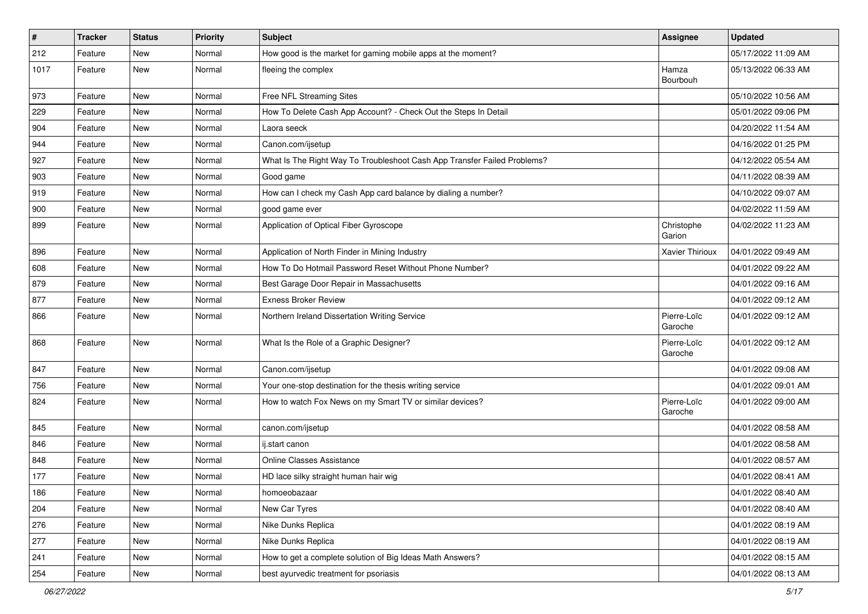| $\pmb{\#}$ | <b>Tracker</b> | <b>Status</b> | <b>Priority</b> | Subject                                                                  | <b>Assignee</b>        | <b>Updated</b>      |
|------------|----------------|---------------|-----------------|--------------------------------------------------------------------------|------------------------|---------------------|
| 212        | Feature        | New           | Normal          | How good is the market for gaming mobile apps at the moment?             |                        | 05/17/2022 11:09 AM |
| 1017       | Feature        | New           | Normal          | fleeing the complex                                                      | Hamza<br>Bourbouh      | 05/13/2022 06:33 AM |
| 973        | Feature        | <b>New</b>    | Normal          | Free NFL Streaming Sites                                                 |                        | 05/10/2022 10:56 AM |
| 229        | Feature        | <b>New</b>    | Normal          | How To Delete Cash App Account? - Check Out the Steps In Detail          |                        | 05/01/2022 09:06 PM |
| 904        | Feature        | New           | Normal          | Laora seeck                                                              |                        | 04/20/2022 11:54 AM |
| 944        | Feature        | New           | Normal          | Canon.com/ijsetup                                                        |                        | 04/16/2022 01:25 PM |
| 927        | Feature        | New           | Normal          | What Is The Right Way To Troubleshoot Cash App Transfer Failed Problems? |                        | 04/12/2022 05:54 AM |
| 903        | Feature        | New           | Normal          | Good game                                                                |                        | 04/11/2022 08:39 AM |
| 919        | Feature        | <b>New</b>    | Normal          | How can I check my Cash App card balance by dialing a number?            |                        | 04/10/2022 09:07 AM |
| 900        | Feature        | New           | Normal          | good game ever                                                           |                        | 04/02/2022 11:59 AM |
| 899        | Feature        | New           | Normal          | Application of Optical Fiber Gyroscope                                   | Christophe<br>Garion   | 04/02/2022 11:23 AM |
| 896        | Feature        | New           | Normal          | Application of North Finder in Mining Industry                           | Xavier Thirioux        | 04/01/2022 09:49 AM |
| 608        | Feature        | New           | Normal          | How To Do Hotmail Password Reset Without Phone Number?                   |                        | 04/01/2022 09:22 AM |
| 879        | Feature        | New           | Normal          | Best Garage Door Repair in Massachusetts                                 |                        | 04/01/2022 09:16 AM |
| 877        | Feature        | New           | Normal          | <b>Exness Broker Review</b>                                              |                        | 04/01/2022 09:12 AM |
| 866        | Feature        | New           | Normal          | Northern Ireland Dissertation Writing Service                            | Pierre-Loïc<br>Garoche | 04/01/2022 09:12 AM |
| 868        | Feature        | <b>New</b>    | Normal          | What Is the Role of a Graphic Designer?                                  | Pierre-Loïc<br>Garoche | 04/01/2022 09:12 AM |
| 847        | Feature        | New           | Normal          | Canon.com/ijsetup                                                        |                        | 04/01/2022 09:08 AM |
| 756        | Feature        | New           | Normal          | Your one-stop destination for the thesis writing service                 |                        | 04/01/2022 09:01 AM |
| 824        | Feature        | New           | Normal          | How to watch Fox News on my Smart TV or similar devices?                 | Pierre-Loïc<br>Garoche | 04/01/2022 09:00 AM |
| 845        | Feature        | <b>New</b>    | Normal          | canon.com/ijsetup                                                        |                        | 04/01/2022 08:58 AM |
| 846        | Feature        | New           | Normal          | ij.start canon                                                           |                        | 04/01/2022 08:58 AM |
| 848        | Feature        | New           | Normal          | <b>Online Classes Assistance</b>                                         |                        | 04/01/2022 08:57 AM |
| 177        | Feature        | New           | Normal          | HD lace silky straight human hair wig                                    |                        | 04/01/2022 08:41 AM |
| 186        | Feature        | New           | Normal          | homoeobazaar                                                             |                        | 04/01/2022 08:40 AM |
| 204        | Feature        | New           | Normal          | New Car Tyres                                                            |                        | 04/01/2022 08:40 AM |
| 276        | Feature        | New           | Normal          | Nike Dunks Replica                                                       |                        | 04/01/2022 08:19 AM |
| 277        | Feature        | New           | Normal          | Nike Dunks Replica                                                       |                        | 04/01/2022 08:19 AM |
| 241        | Feature        | New           | Normal          | How to get a complete solution of Big Ideas Math Answers?                |                        | 04/01/2022 08:15 AM |
| 254        | Feature        | New           | Normal          | best ayurvedic treatment for psoriasis                                   |                        | 04/01/2022 08:13 AM |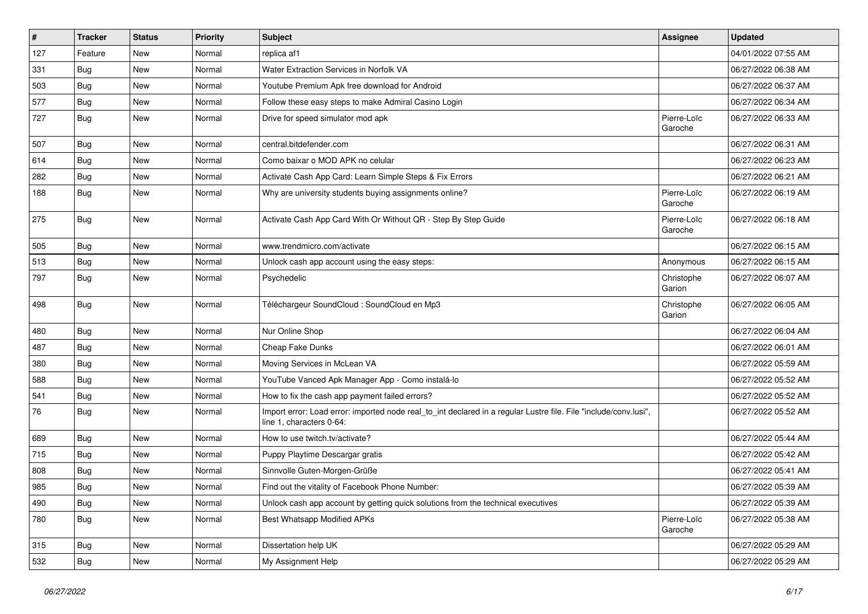| $\pmb{\#}$ | Tracker    | <b>Status</b> | <b>Priority</b> | <b>Subject</b>                                                                                                                               | Assignee               | <b>Updated</b>      |
|------------|------------|---------------|-----------------|----------------------------------------------------------------------------------------------------------------------------------------------|------------------------|---------------------|
| 127        | Feature    | New           | Normal          | replica af1                                                                                                                                  |                        | 04/01/2022 07:55 AM |
| 331        | Bug        | New           | Normal          | Water Extraction Services in Norfolk VA                                                                                                      |                        | 06/27/2022 06:38 AM |
| 503        | <b>Bug</b> | New           | Normal          | Youtube Premium Apk free download for Android                                                                                                |                        | 06/27/2022 06:37 AM |
| 577        | Bug        | New           | Normal          | Follow these easy steps to make Admiral Casino Login                                                                                         |                        | 06/27/2022 06:34 AM |
| 727        | <b>Bug</b> | New           | Normal          | Drive for speed simulator mod apk                                                                                                            | Pierre-Loïc<br>Garoche | 06/27/2022 06:33 AM |
| 507        | Bug        | New           | Normal          | central.bitdefender.com                                                                                                                      |                        | 06/27/2022 06:31 AM |
| 614        | Bug        | New           | Normal          | Como baixar o MOD APK no celular                                                                                                             |                        | 06/27/2022 06:23 AM |
| 282        | <b>Bug</b> | New           | Normal          | Activate Cash App Card: Learn Simple Steps & Fix Errors                                                                                      |                        | 06/27/2022 06:21 AM |
| 188        | Bug        | New           | Normal          | Why are university students buying assignments online?                                                                                       | Pierre-Loïc<br>Garoche | 06/27/2022 06:19 AM |
| 275        | Bug        | New           | Normal          | Activate Cash App Card With Or Without QR - Step By Step Guide                                                                               | Pierre-Loïc<br>Garoche | 06/27/2022 06:18 AM |
| 505        | <b>Bug</b> | New           | Normal          | www.trendmicro.com/activate                                                                                                                  |                        | 06/27/2022 06:15 AM |
| 513        | Bug        | New           | Normal          | Unlock cash app account using the easy steps:                                                                                                | Anonymous              | 06/27/2022 06:15 AM |
| 797        | <b>Bug</b> | New           | Normal          | Psychedelic                                                                                                                                  | Christophe<br>Garion   | 06/27/2022 06:07 AM |
| 498        | Bug        | New           | Normal          | Téléchargeur SoundCloud : SoundCloud en Mp3                                                                                                  | Christophe<br>Garion   | 06/27/2022 06:05 AM |
| 480        | <b>Bug</b> | New           | Normal          | Nur Online Shop                                                                                                                              |                        | 06/27/2022 06:04 AM |
| 487        | Bug        | New           | Normal          | Cheap Fake Dunks                                                                                                                             |                        | 06/27/2022 06:01 AM |
| 380        | <b>Bug</b> | New           | Normal          | Moving Services in McLean VA                                                                                                                 |                        | 06/27/2022 05:59 AM |
| 588        | <b>Bug</b> | New           | Normal          | YouTube Vanced Apk Manager App - Como instalá-lo                                                                                             |                        | 06/27/2022 05:52 AM |
| 541        | Bug        | New           | Normal          | How to fix the cash app payment failed errors?                                                                                               |                        | 06/27/2022 05:52 AM |
| 76         | <b>Bug</b> | New           | Normal          | Import error: Load error: imported node real_to_int declared in a regular Lustre file. File "include/conv.lusi",<br>line 1, characters 0-64: |                        | 06/27/2022 05:52 AM |
| 689        | <b>Bug</b> | New           | Normal          | How to use twitch.tv/activate?                                                                                                               |                        | 06/27/2022 05:44 AM |
| 715        | <b>Bug</b> | New           | Normal          | Puppy Playtime Descargar gratis                                                                                                              |                        | 06/27/2022 05:42 AM |
| 808        | <b>Bug</b> | New           | Normal          | Sinnvolle Guten-Morgen-Grüße                                                                                                                 |                        | 06/27/2022 05:41 AM |
| 985        | Bug        | New           | Normal          | Find out the vitality of Facebook Phone Number:                                                                                              |                        | 06/27/2022 05:39 AM |
| 490        | Bug        | New           | Normal          | Unlock cash app account by getting quick solutions from the technical executives                                                             |                        | 06/27/2022 05:39 AM |
| 780        | <b>Bug</b> | New           | Normal          | Best Whatsapp Modified APKs                                                                                                                  | Pierre-Loïc<br>Garoche | 06/27/2022 05:38 AM |
| 315        | Bug        | New           | Normal          | Dissertation help UK                                                                                                                         |                        | 06/27/2022 05:29 AM |
| 532        | <b>Bug</b> | New           | Normal          | My Assignment Help                                                                                                                           |                        | 06/27/2022 05:29 AM |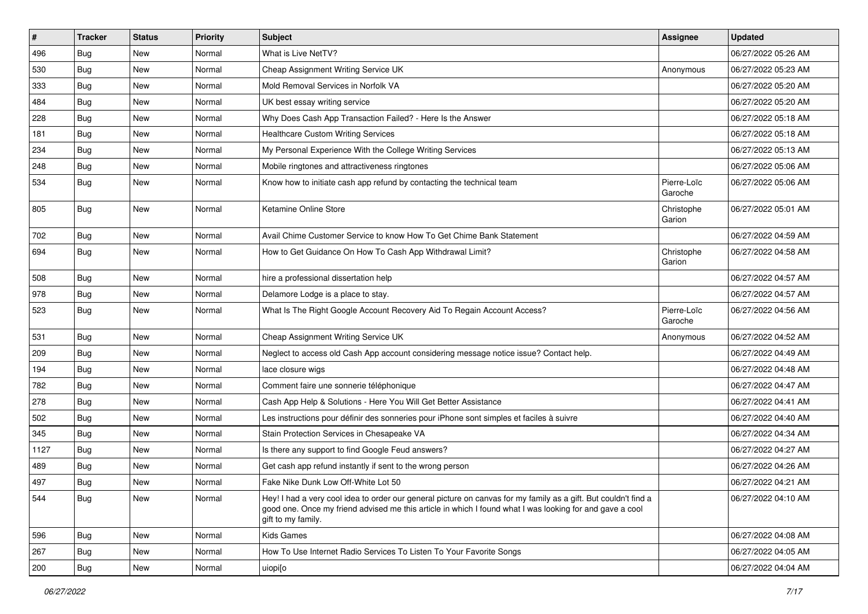| $\vert$ # | <b>Tracker</b> | <b>Status</b> | <b>Priority</b> | Subject                                                                                                                                                                                                                                           | <b>Assignee</b>        | <b>Updated</b>      |
|-----------|----------------|---------------|-----------------|---------------------------------------------------------------------------------------------------------------------------------------------------------------------------------------------------------------------------------------------------|------------------------|---------------------|
| 496       | Bug            | New           | Normal          | What is Live NetTV?                                                                                                                                                                                                                               |                        | 06/27/2022 05:26 AM |
| 530       | Bug            | <b>New</b>    | Normal          | Cheap Assignment Writing Service UK                                                                                                                                                                                                               | Anonymous              | 06/27/2022 05:23 AM |
| 333       | Bug            | New           | Normal          | Mold Removal Services in Norfolk VA                                                                                                                                                                                                               |                        | 06/27/2022 05:20 AM |
| 484       | Bug            | New           | Normal          | UK best essay writing service                                                                                                                                                                                                                     |                        | 06/27/2022 05:20 AM |
| 228       | Bug            | New           | Normal          | Why Does Cash App Transaction Failed? - Here Is the Answer                                                                                                                                                                                        |                        | 06/27/2022 05:18 AM |
| 181       | Bug            | New           | Normal          | <b>Healthcare Custom Writing Services</b>                                                                                                                                                                                                         |                        | 06/27/2022 05:18 AM |
| 234       | Bug            | New           | Normal          | My Personal Experience With the College Writing Services                                                                                                                                                                                          |                        | 06/27/2022 05:13 AM |
| 248       | <b>Bug</b>     | New           | Normal          | Mobile ringtones and attractiveness ringtones                                                                                                                                                                                                     |                        | 06/27/2022 05:06 AM |
| 534       | <b>Bug</b>     | New           | Normal          | Know how to initiate cash app refund by contacting the technical team                                                                                                                                                                             | Pierre-Loïc<br>Garoche | 06/27/2022 05:06 AM |
| 805       | <b>Bug</b>     | New           | Normal          | Ketamine Online Store                                                                                                                                                                                                                             | Christophe<br>Garion   | 06/27/2022 05:01 AM |
| 702       | Bug            | New           | Normal          | Avail Chime Customer Service to know How To Get Chime Bank Statement                                                                                                                                                                              |                        | 06/27/2022 04:59 AM |
| 694       | <b>Bug</b>     | New           | Normal          | How to Get Guidance On How To Cash App Withdrawal Limit?                                                                                                                                                                                          | Christophe<br>Garion   | 06/27/2022 04:58 AM |
| 508       | <b>Bug</b>     | New           | Normal          | hire a professional dissertation help                                                                                                                                                                                                             |                        | 06/27/2022 04:57 AM |
| 978       | Bug            | New           | Normal          | Delamore Lodge is a place to stay.                                                                                                                                                                                                                |                        | 06/27/2022 04:57 AM |
| 523       | <b>Bug</b>     | New           | Normal          | What Is The Right Google Account Recovery Aid To Regain Account Access?                                                                                                                                                                           | Pierre-Loïc<br>Garoche | 06/27/2022 04:56 AM |
| 531       | Bug            | New           | Normal          | Cheap Assignment Writing Service UK                                                                                                                                                                                                               | Anonymous              | 06/27/2022 04:52 AM |
| 209       | Bug            | New           | Normal          | Neglect to access old Cash App account considering message notice issue? Contact help.                                                                                                                                                            |                        | 06/27/2022 04:49 AM |
| 194       | Bug            | New           | Normal          | lace closure wigs                                                                                                                                                                                                                                 |                        | 06/27/2022 04:48 AM |
| 782       | Bug            | New           | Normal          | Comment faire une sonnerie téléphonique                                                                                                                                                                                                           |                        | 06/27/2022 04:47 AM |
| 278       | <b>Bug</b>     | New           | Normal          | Cash App Help & Solutions - Here You Will Get Better Assistance                                                                                                                                                                                   |                        | 06/27/2022 04:41 AM |
| 502       | Bug            | New           | Normal          | Les instructions pour définir des sonneries pour iPhone sont simples et faciles à suivre                                                                                                                                                          |                        | 06/27/2022 04:40 AM |
| 345       | Bug            | New           | Normal          | Stain Protection Services in Chesapeake VA                                                                                                                                                                                                        |                        | 06/27/2022 04:34 AM |
| 1127      | <b>Bug</b>     | New           | Normal          | Is there any support to find Google Feud answers?                                                                                                                                                                                                 |                        | 06/27/2022 04:27 AM |
| 489       | Bug            | New           | Normal          | Get cash app refund instantly if sent to the wrong person                                                                                                                                                                                         |                        | 06/27/2022 04:26 AM |
| 497       | <b>Bug</b>     | New           | Normal          | Fake Nike Dunk Low Off-White Lot 50                                                                                                                                                                                                               |                        | 06/27/2022 04:21 AM |
| 544       | <b>Bug</b>     | New           | Normal          | Hey! I had a very cool idea to order our general picture on canvas for my family as a gift. But couldn't find a<br>good one. Once my friend advised me this article in which I found what I was looking for and gave a cool<br>gift to my family. |                        | 06/27/2022 04:10 AM |
| 596       | <b>Bug</b>     | New           | Normal          | <b>Kids Games</b>                                                                                                                                                                                                                                 |                        | 06/27/2022 04:08 AM |
| 267       | <b>Bug</b>     | New           | Normal          | How To Use Internet Radio Services To Listen To Your Favorite Songs                                                                                                                                                                               |                        | 06/27/2022 04:05 AM |
| 200       | <b>Bug</b>     | New           | Normal          | uiopi[o                                                                                                                                                                                                                                           |                        | 06/27/2022 04:04 AM |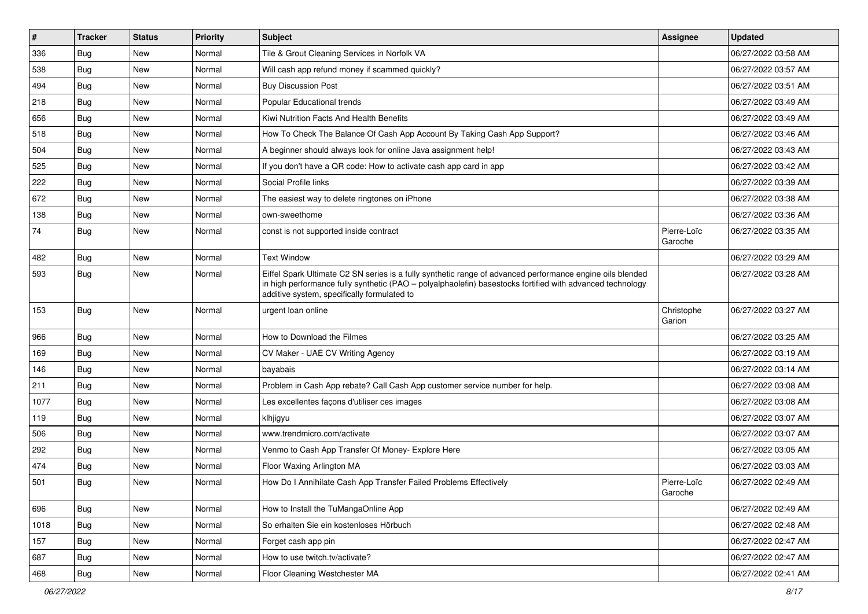| $\vert$ # | <b>Tracker</b> | <b>Status</b> | <b>Priority</b> | Subject                                                                                                                                                                                                                                                               | <b>Assignee</b>        | <b>Updated</b>      |
|-----------|----------------|---------------|-----------------|-----------------------------------------------------------------------------------------------------------------------------------------------------------------------------------------------------------------------------------------------------------------------|------------------------|---------------------|
| 336       | Bug            | New           | Normal          | Tile & Grout Cleaning Services in Norfolk VA                                                                                                                                                                                                                          |                        | 06/27/2022 03:58 AM |
| 538       | Bug            | <b>New</b>    | Normal          | Will cash app refund money if scammed quickly?                                                                                                                                                                                                                        |                        | 06/27/2022 03:57 AM |
| 494       | Bug            | New           | Normal          | <b>Buy Discussion Post</b>                                                                                                                                                                                                                                            |                        | 06/27/2022 03:51 AM |
| 218       | Bug            | New           | Normal          | <b>Popular Educational trends</b>                                                                                                                                                                                                                                     |                        | 06/27/2022 03:49 AM |
| 656       | Bug            | New           | Normal          | Kiwi Nutrition Facts And Health Benefits                                                                                                                                                                                                                              |                        | 06/27/2022 03:49 AM |
| 518       | Bug            | New           | Normal          | How To Check The Balance Of Cash App Account By Taking Cash App Support?                                                                                                                                                                                              |                        | 06/27/2022 03:46 AM |
| 504       | Bug            | New           | Normal          | A beginner should always look for online Java assignment help!                                                                                                                                                                                                        |                        | 06/27/2022 03:43 AM |
| 525       | Bug            | New           | Normal          | If you don't have a QR code: How to activate cash app card in app                                                                                                                                                                                                     |                        | 06/27/2022 03:42 AM |
| 222       | Bug            | <b>New</b>    | Normal          | Social Profile links                                                                                                                                                                                                                                                  |                        | 06/27/2022 03:39 AM |
| 672       | Bug            | New           | Normal          | The easiest way to delete ringtones on iPhone                                                                                                                                                                                                                         |                        | 06/27/2022 03:38 AM |
| 138       | <b>Bug</b>     | New           | Normal          | own-sweethome                                                                                                                                                                                                                                                         |                        | 06/27/2022 03:36 AM |
| 74        | Bug            | New           | Normal          | const is not supported inside contract                                                                                                                                                                                                                                | Pierre-Loïc<br>Garoche | 06/27/2022 03:35 AM |
| 482       | Bug            | New           | Normal          | <b>Text Window</b>                                                                                                                                                                                                                                                    |                        | 06/27/2022 03:29 AM |
| 593       | <b>Bug</b>     | <b>New</b>    | Normal          | Eiffel Spark Ultimate C2 SN series is a fully synthetic range of advanced performance engine oils blended<br>in high performance fully synthetic (PAO - polyalphaolefin) basestocks fortified with advanced technology<br>additive system, specifically formulated to |                        | 06/27/2022 03:28 AM |
| 153       | <b>Bug</b>     | New           | Normal          | urgent loan online                                                                                                                                                                                                                                                    | Christophe<br>Garion   | 06/27/2022 03:27 AM |
| 966       | Bug            | New           | Normal          | How to Download the Filmes                                                                                                                                                                                                                                            |                        | 06/27/2022 03:25 AM |
| 169       | Bug            | New           | Normal          | CV Maker - UAE CV Writing Agency                                                                                                                                                                                                                                      |                        | 06/27/2022 03:19 AM |
| 146       | Bug            | New           | Normal          | bayabais                                                                                                                                                                                                                                                              |                        | 06/27/2022 03:14 AM |
| 211       | Bug            | New           | Normal          | Problem in Cash App rebate? Call Cash App customer service number for help.                                                                                                                                                                                           |                        | 06/27/2022 03:08 AM |
| 1077      | Bug            | New           | Normal          | Les excellentes façons d'utiliser ces images                                                                                                                                                                                                                          |                        | 06/27/2022 03:08 AM |
| 119       | Bug            | <b>New</b>    | Normal          | klhjigyu                                                                                                                                                                                                                                                              |                        | 06/27/2022 03:07 AM |
| 506       | Bug            | New           | Normal          | www.trendmicro.com/activate                                                                                                                                                                                                                                           |                        | 06/27/2022 03:07 AM |
| 292       | <b>Bug</b>     | New           | Normal          | Venmo to Cash App Transfer Of Money- Explore Here                                                                                                                                                                                                                     |                        | 06/27/2022 03:05 AM |
| 474       | Bug            | New           | Normal          | Floor Waxing Arlington MA                                                                                                                                                                                                                                             |                        | 06/27/2022 03:03 AM |
| 501       | Bug            | <b>New</b>    | Normal          | How Do I Annihilate Cash App Transfer Failed Problems Effectively                                                                                                                                                                                                     | Pierre-Loïc<br>Garoche | 06/27/2022 02:49 AM |
| 696       | Bug            | New           | Normal          | How to Install the TuMangaOnline App                                                                                                                                                                                                                                  |                        | 06/27/2022 02:49 AM |
| 1018      | Bug            | New           | Normal          | So erhalten Sie ein kostenloses Hörbuch                                                                                                                                                                                                                               |                        | 06/27/2022 02:48 AM |
| 157       | Bug            | New           | Normal          | Forget cash app pin                                                                                                                                                                                                                                                   |                        | 06/27/2022 02:47 AM |
| 687       | Bug            | New           | Normal          | How to use twitch.tv/activate?                                                                                                                                                                                                                                        |                        | 06/27/2022 02:47 AM |
| 468       | Bug            | New           | Normal          | Floor Cleaning Westchester MA                                                                                                                                                                                                                                         |                        | 06/27/2022 02:41 AM |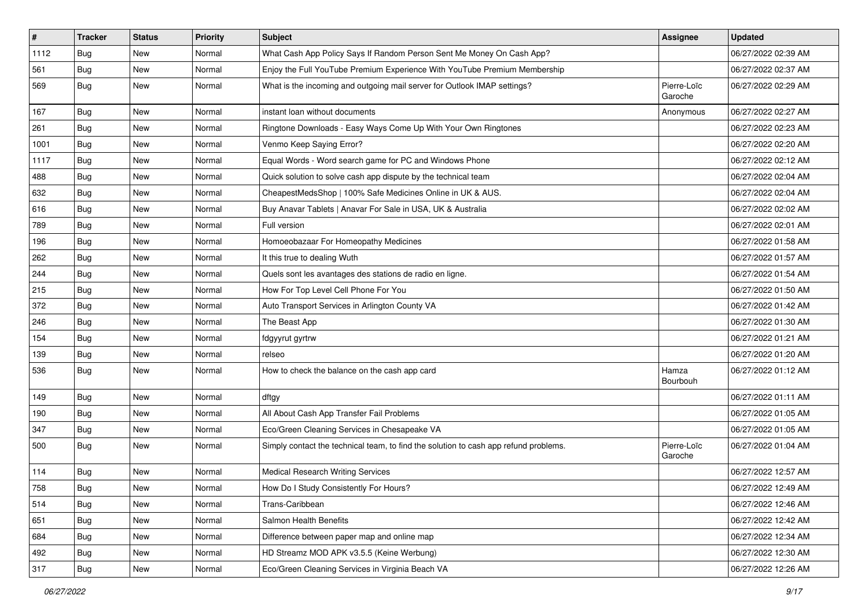| #    | <b>Tracker</b> | <b>Status</b> | <b>Priority</b> | <b>Subject</b>                                                                       | <b>Assignee</b>        | <b>Updated</b>      |
|------|----------------|---------------|-----------------|--------------------------------------------------------------------------------------|------------------------|---------------------|
| 1112 | <b>Bug</b>     | New           | Normal          | What Cash App Policy Says If Random Person Sent Me Money On Cash App?                |                        | 06/27/2022 02:39 AM |
| 561  | Bug            | New           | Normal          | Enjoy the Full YouTube Premium Experience With YouTube Premium Membership            |                        | 06/27/2022 02:37 AM |
| 569  | Bug            | New           | Normal          | What is the incoming and outgoing mail server for Outlook IMAP settings?             | Pierre-Loïc<br>Garoche | 06/27/2022 02:29 AM |
| 167  | Bug            | New           | Normal          | instant loan without documents                                                       | Anonymous              | 06/27/2022 02:27 AM |
| 261  | Bug            | New           | Normal          | Ringtone Downloads - Easy Ways Come Up With Your Own Ringtones                       |                        | 06/27/2022 02:23 AM |
| 1001 | <b>Bug</b>     | New           | Normal          | Venmo Keep Saying Error?                                                             |                        | 06/27/2022 02:20 AM |
| 1117 | Bug            | New           | Normal          | Equal Words - Word search game for PC and Windows Phone                              |                        | 06/27/2022 02:12 AM |
| 488  | <b>Bug</b>     | New           | Normal          | Quick solution to solve cash app dispute by the technical team                       |                        | 06/27/2022 02:04 AM |
| 632  | <b>Bug</b>     | New           | Normal          | CheapestMedsShop   100% Safe Medicines Online in UK & AUS.                           |                        | 06/27/2022 02:04 AM |
| 616  | Bug            | New           | Normal          | Buy Anavar Tablets   Anavar For Sale in USA, UK & Australia                          |                        | 06/27/2022 02:02 AM |
| 789  | <b>Bug</b>     | New           | Normal          | Full version                                                                         |                        | 06/27/2022 02:01 AM |
| 196  | Bug            | New           | Normal          | Homoeobazaar For Homeopathy Medicines                                                |                        | 06/27/2022 01:58 AM |
| 262  | <b>Bug</b>     | New           | Normal          | It this true to dealing Wuth                                                         |                        | 06/27/2022 01:57 AM |
| 244  | Bug            | New           | Normal          | Quels sont les avantages des stations de radio en ligne.                             |                        | 06/27/2022 01:54 AM |
| 215  | <b>Bug</b>     | New           | Normal          | How For Top Level Cell Phone For You                                                 |                        | 06/27/2022 01:50 AM |
| 372  | <b>Bug</b>     | New           | Normal          | Auto Transport Services in Arlington County VA                                       |                        | 06/27/2022 01:42 AM |
| 246  | Bug            | New           | Normal          | The Beast App                                                                        |                        | 06/27/2022 01:30 AM |
| 154  | <b>Bug</b>     | New           | Normal          | fdgyyrut gyrtrw                                                                      |                        | 06/27/2022 01:21 AM |
| 139  | <b>Bug</b>     | New           | Normal          | relseo                                                                               |                        | 06/27/2022 01:20 AM |
| 536  | <b>Bug</b>     | New           | Normal          | How to check the balance on the cash app card                                        | Hamza<br>Bourbouh      | 06/27/2022 01:12 AM |
| 149  | Bug            | New           | Normal          | dftgy                                                                                |                        | 06/27/2022 01:11 AM |
| 190  | Bug            | New           | Normal          | All About Cash App Transfer Fail Problems                                            |                        | 06/27/2022 01:05 AM |
| 347  | Bug            | New           | Normal          | Eco/Green Cleaning Services in Chesapeake VA                                         |                        | 06/27/2022 01:05 AM |
| 500  | Bug            | New           | Normal          | Simply contact the technical team, to find the solution to cash app refund problems. | Pierre-Loïc<br>Garoche | 06/27/2022 01:04 AM |
| 114  | Bug            | New           | Normal          | <b>Medical Research Writing Services</b>                                             |                        | 06/27/2022 12:57 AM |
| 758  | <b>Bug</b>     | New           | Normal          | How Do I Study Consistently For Hours?                                               |                        | 06/27/2022 12:49 AM |
| 514  | <b>Bug</b>     | New           | Normal          | Trans-Caribbean                                                                      |                        | 06/27/2022 12:46 AM |
| 651  | <b>Bug</b>     | New           | Normal          | Salmon Health Benefits                                                               |                        | 06/27/2022 12:42 AM |
| 684  | Bug            | New           | Normal          | Difference between paper map and online map                                          |                        | 06/27/2022 12:34 AM |
| 492  | Bug            | New           | Normal          | HD Streamz MOD APK v3.5.5 (Keine Werbung)                                            |                        | 06/27/2022 12:30 AM |
| 317  | Bug            | New           | Normal          | Eco/Green Cleaning Services in Virginia Beach VA                                     |                        | 06/27/2022 12:26 AM |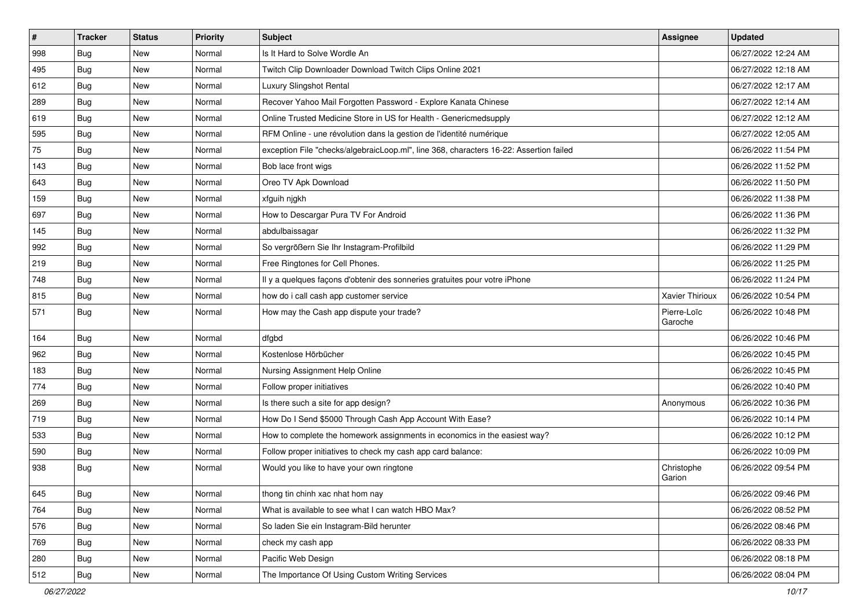| $\sharp$ | <b>Tracker</b> | <b>Status</b> | <b>Priority</b> | Subject                                                                                | <b>Assignee</b>        | <b>Updated</b>      |
|----------|----------------|---------------|-----------------|----------------------------------------------------------------------------------------|------------------------|---------------------|
| 998      | <b>Bug</b>     | New           | Normal          | Is It Hard to Solve Wordle An                                                          |                        | 06/27/2022 12:24 AM |
| 495      | Bug            | <b>New</b>    | Normal          | Twitch Clip Downloader Download Twitch Clips Online 2021                               |                        | 06/27/2022 12:18 AM |
| 612      | Bug            | New           | Normal          | Luxury Slingshot Rental                                                                |                        | 06/27/2022 12:17 AM |
| 289      | <b>Bug</b>     | New           | Normal          | Recover Yahoo Mail Forgotten Password - Explore Kanata Chinese                         |                        | 06/27/2022 12:14 AM |
| 619      | Bug            | <b>New</b>    | Normal          | Online Trusted Medicine Store in US for Health - Genericmedsupply                      |                        | 06/27/2022 12:12 AM |
| 595      | <b>Bug</b>     | New           | Normal          | RFM Online - une révolution dans la gestion de l'identité numérique                    |                        | 06/27/2022 12:05 AM |
| 75       | Bug            | New           | Normal          | exception File "checks/algebraicLoop.ml", line 368, characters 16-22: Assertion failed |                        | 06/26/2022 11:54 PM |
| 143      | Bug            | New           | Normal          | Bob lace front wigs                                                                    |                        | 06/26/2022 11:52 PM |
| 643      | Bug            | <b>New</b>    | Normal          | Oreo TV Apk Download                                                                   |                        | 06/26/2022 11:50 PM |
| 159      | Bug            | <b>New</b>    | Normal          | xfguih njgkh                                                                           |                        | 06/26/2022 11:38 PM |
| 697      | <b>Bug</b>     | New           | Normal          | How to Descargar Pura TV For Android                                                   |                        | 06/26/2022 11:36 PM |
| 145      | Bug            | New           | Normal          | abdulbaissagar                                                                         |                        | 06/26/2022 11:32 PM |
| 992      | Bug            | <b>New</b>    | Normal          | So vergrößern Sie Ihr Instagram-Profilbild                                             |                        | 06/26/2022 11:29 PM |
| 219      | <b>Bug</b>     | New           | Normal          | Free Ringtones for Cell Phones.                                                        |                        | 06/26/2022 11:25 PM |
| 748      | Bug            | <b>New</b>    | Normal          | Il y a quelques façons d'obtenir des sonneries gratuites pour votre iPhone             |                        | 06/26/2022 11:24 PM |
| 815      | Bug            | New           | Normal          | how do i call cash app customer service                                                | Xavier Thirioux        | 06/26/2022 10:54 PM |
| 571      | Bug            | New           | Normal          | How may the Cash app dispute your trade?                                               | Pierre-Loïc<br>Garoche | 06/26/2022 10:48 PM |
| 164      | Bug            | <b>New</b>    | Normal          | dfgbd                                                                                  |                        | 06/26/2022 10:46 PM |
| 962      | Bug            | New           | Normal          | Kostenlose Hörbücher                                                                   |                        | 06/26/2022 10:45 PM |
| 183      | Bug            | <b>New</b>    | Normal          | Nursing Assignment Help Online                                                         |                        | 06/26/2022 10:45 PM |
| 774      | <b>Bug</b>     | <b>New</b>    | Normal          | Follow proper initiatives                                                              |                        | 06/26/2022 10:40 PM |
| 269      | Bug            | <b>New</b>    | Normal          | Is there such a site for app design?                                                   | Anonymous              | 06/26/2022 10:36 PM |
| 719      | <b>Bug</b>     | New           | Normal          | How Do I Send \$5000 Through Cash App Account With Ease?                               |                        | 06/26/2022 10:14 PM |
| 533      | <b>Bug</b>     | New           | Normal          | How to complete the homework assignments in economics in the easiest way?              |                        | 06/26/2022 10:12 PM |
| 590      | Bug            | <b>New</b>    | Normal          | Follow proper initiatives to check my cash app card balance:                           |                        | 06/26/2022 10:09 PM |
| 938      | <b>Bug</b>     | New           | Normal          | Would you like to have your own ringtone                                               | Christophe<br>Garion   | 06/26/2022 09:54 PM |
| 645      | Bug            | New           | Normal          | thong tin chinh xac nhat hom nay                                                       |                        | 06/26/2022 09:46 PM |
| 764      | Bug            | New           | Normal          | What is available to see what I can watch HBO Max?                                     |                        | 06/26/2022 08:52 PM |
| 576      | Bug            | New           | Normal          | So laden Sie ein Instagram-Bild herunter                                               |                        | 06/26/2022 08:46 PM |
| 769      | <b>Bug</b>     | New           | Normal          | check my cash app                                                                      |                        | 06/26/2022 08:33 PM |
| 280      | Bug            | New           | Normal          | Pacific Web Design                                                                     |                        | 06/26/2022 08:18 PM |
| 512      | <b>Bug</b>     | New           | Normal          | The Importance Of Using Custom Writing Services                                        |                        | 06/26/2022 08:04 PM |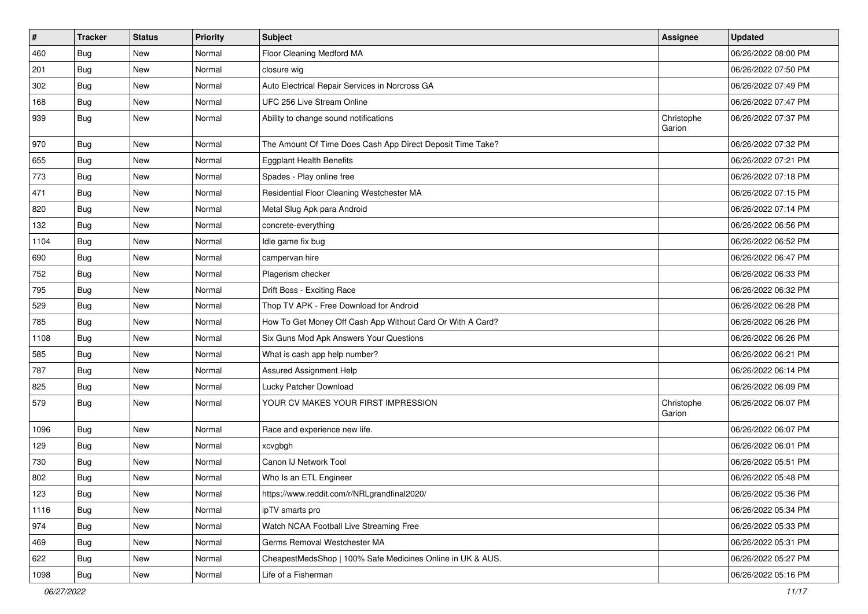| $\vert$ # | <b>Tracker</b> | <b>Status</b> | <b>Priority</b> | <b>Subject</b>                                             | Assignee             | <b>Updated</b>      |
|-----------|----------------|---------------|-----------------|------------------------------------------------------------|----------------------|---------------------|
| 460       | <b>Bug</b>     | New           | Normal          | Floor Cleaning Medford MA                                  |                      | 06/26/2022 08:00 PM |
| 201       | Bug            | New           | Normal          | closure wig                                                |                      | 06/26/2022 07:50 PM |
| 302       | Bug            | New           | Normal          | Auto Electrical Repair Services in Norcross GA             |                      | 06/26/2022 07:49 PM |
| 168       | <b>Bug</b>     | New           | Normal          | UFC 256 Live Stream Online                                 |                      | 06/26/2022 07:47 PM |
| 939       | Bug            | New           | Normal          | Ability to change sound notifications                      | Christophe<br>Garion | 06/26/2022 07:37 PM |
| 970       | <b>Bug</b>     | New           | Normal          | The Amount Of Time Does Cash App Direct Deposit Time Take? |                      | 06/26/2022 07:32 PM |
| 655       | <b>Bug</b>     | New           | Normal          | <b>Eggplant Health Benefits</b>                            |                      | 06/26/2022 07:21 PM |
| 773       | Bug            | New           | Normal          | Spades - Play online free                                  |                      | 06/26/2022 07:18 PM |
| 471       | <b>Bug</b>     | <b>New</b>    | Normal          | Residential Floor Cleaning Westchester MA                  |                      | 06/26/2022 07:15 PM |
| 820       | Bug            | New           | Normal          | Metal Slug Apk para Android                                |                      | 06/26/2022 07:14 PM |
| 132       | <b>Bug</b>     | New           | Normal          | concrete-everything                                        |                      | 06/26/2022 06:56 PM |
| 1104      | Bug            | New           | Normal          | Idle game fix bug                                          |                      | 06/26/2022 06:52 PM |
| 690       | <b>Bug</b>     | New           | Normal          | campervan hire                                             |                      | 06/26/2022 06:47 PM |
| 752       | <b>Bug</b>     | New           | Normal          | Plagerism checker                                          |                      | 06/26/2022 06:33 PM |
| 795       | Bug            | New           | Normal          | Drift Boss - Exciting Race                                 |                      | 06/26/2022 06:32 PM |
| 529       | <b>Bug</b>     | New           | Normal          | Thop TV APK - Free Download for Android                    |                      | 06/26/2022 06:28 PM |
| 785       | Bug            | New           | Normal          | How To Get Money Off Cash App Without Card Or With A Card? |                      | 06/26/2022 06:26 PM |
| 1108      | <b>Bug</b>     | New           | Normal          | Six Guns Mod Apk Answers Your Questions                    |                      | 06/26/2022 06:26 PM |
| 585       | Bug            | New           | Normal          | What is cash app help number?                              |                      | 06/26/2022 06:21 PM |
| 787       | Bug            | New           | Normal          | Assured Assignment Help                                    |                      | 06/26/2022 06:14 PM |
| 825       | <b>Bug</b>     | New           | Normal          | Lucky Patcher Download                                     |                      | 06/26/2022 06:09 PM |
| 579       | <b>Bug</b>     | New           | Normal          | YOUR CV MAKES YOUR FIRST IMPRESSION                        | Christophe<br>Garion | 06/26/2022 06:07 PM |
| 1096      | <b>Bug</b>     | New           | Normal          | Race and experience new life.                              |                      | 06/26/2022 06:07 PM |
| 129       | Bug            | New           | Normal          | xcvgbgh                                                    |                      | 06/26/2022 06:01 PM |
| 730       | <b>Bug</b>     | New           | Normal          | Canon IJ Network Tool                                      |                      | 06/26/2022 05:51 PM |
| 802       | Bug            | New           | Normal          | Who Is an ETL Engineer                                     |                      | 06/26/2022 05:48 PM |
| 123       | Bug            | New           | Normal          | https://www.reddit.com/r/NRLgrandfinal2020/                |                      | 06/26/2022 05:36 PM |
| 1116      | Bug            | New           | Normal          | ipTV smarts pro                                            |                      | 06/26/2022 05:34 PM |
| 974       | Bug            | New           | Normal          | Watch NCAA Football Live Streaming Free                    |                      | 06/26/2022 05:33 PM |
| 469       | Bug            | New           | Normal          | Germs Removal Westchester MA                               |                      | 06/26/2022 05:31 PM |
| 622       | Bug            | New           | Normal          | CheapestMedsShop   100% Safe Medicines Online in UK & AUS. |                      | 06/26/2022 05:27 PM |
| 1098      | Bug            | New           | Normal          | Life of a Fisherman                                        |                      | 06/26/2022 05:16 PM |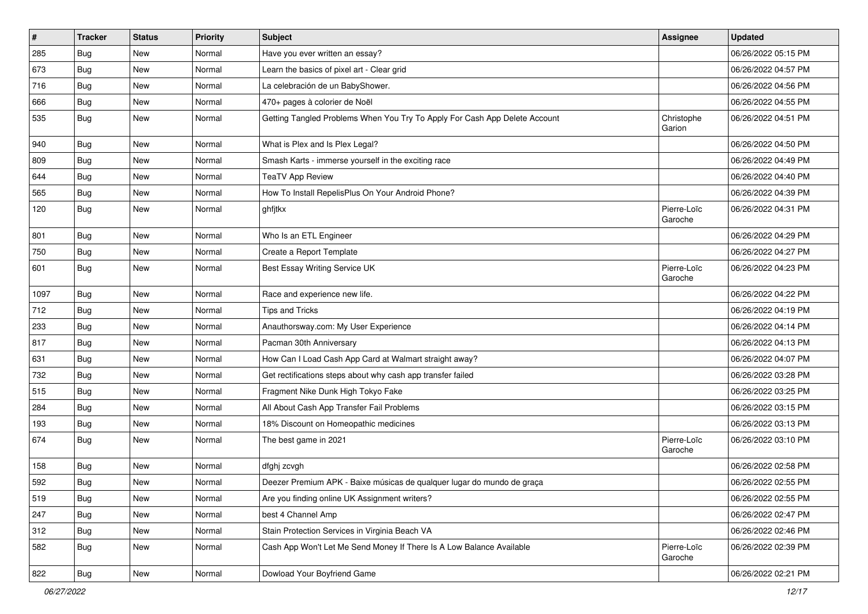| $\vert$ # | <b>Tracker</b> | <b>Status</b> | <b>Priority</b> | <b>Subject</b>                                                             | Assignee               | <b>Updated</b>      |
|-----------|----------------|---------------|-----------------|----------------------------------------------------------------------------|------------------------|---------------------|
| 285       | Bug            | New           | Normal          | Have you ever written an essay?                                            |                        | 06/26/2022 05:15 PM |
| 673       | Bug            | <b>New</b>    | Normal          | Learn the basics of pixel art - Clear grid                                 |                        | 06/26/2022 04:57 PM |
| 716       | <b>Bug</b>     | New           | Normal          | La celebración de un BabyShower.                                           |                        | 06/26/2022 04:56 PM |
| 666       | Bug            | New           | Normal          | 470+ pages à colorier de Noël                                              |                        | 06/26/2022 04:55 PM |
| 535       | <b>Bug</b>     | <b>New</b>    | Normal          | Getting Tangled Problems When You Try To Apply For Cash App Delete Account | Christophe<br>Garion   | 06/26/2022 04:51 PM |
| 940       | Bug            | <b>New</b>    | Normal          | What is Plex and Is Plex Legal?                                            |                        | 06/26/2022 04:50 PM |
| 809       | Bug            | New           | Normal          | Smash Karts - immerse yourself in the exciting race                        |                        | 06/26/2022 04:49 PM |
| 644       | <b>Bug</b>     | New           | Normal          | <b>TeaTV App Review</b>                                                    |                        | 06/26/2022 04:40 PM |
| 565       | Bug            | New           | Normal          | How To Install RepelisPlus On Your Android Phone?                          |                        | 06/26/2022 04:39 PM |
| 120       | Bug            | New           | Normal          | ghfjtkx                                                                    | Pierre-Loïc<br>Garoche | 06/26/2022 04:31 PM |
| 801       | Bug            | New           | Normal          | Who Is an ETL Engineer                                                     |                        | 06/26/2022 04:29 PM |
| 750       | <b>Bug</b>     | New           | Normal          | Create a Report Template                                                   |                        | 06/26/2022 04:27 PM |
| 601       | Bug            | <b>New</b>    | Normal          | Best Essay Writing Service UK                                              | Pierre-Loïc<br>Garoche | 06/26/2022 04:23 PM |
| 1097      | <b>Bug</b>     | New           | Normal          | Race and experience new life.                                              |                        | 06/26/2022 04:22 PM |
| 712       | Bug            | New           | Normal          | <b>Tips and Tricks</b>                                                     |                        | 06/26/2022 04:19 PM |
| 233       | <b>Bug</b>     | New           | Normal          | Anauthorsway.com: My User Experience                                       |                        | 06/26/2022 04:14 PM |
| 817       | Bug            | New           | Normal          | Pacman 30th Anniversary                                                    |                        | 06/26/2022 04:13 PM |
| 631       | Bug            | New           | Normal          | How Can I Load Cash App Card at Walmart straight away?                     |                        | 06/26/2022 04:07 PM |
| 732       | Bug            | New           | Normal          | Get rectifications steps about why cash app transfer failed                |                        | 06/26/2022 03:28 PM |
| 515       | <b>Bug</b>     | <b>New</b>    | Normal          | Fragment Nike Dunk High Tokyo Fake                                         |                        | 06/26/2022 03:25 PM |
| 284       | Bug            | New           | Normal          | All About Cash App Transfer Fail Problems                                  |                        | 06/26/2022 03:15 PM |
| 193       | <b>Bug</b>     | New           | Normal          | 18% Discount on Homeopathic medicines                                      |                        | 06/26/2022 03:13 PM |
| 674       | <b>Bug</b>     | <b>New</b>    | Normal          | The best game in 2021                                                      | Pierre-Loïc<br>Garoche | 06/26/2022 03:10 PM |
| 158       | Bug            | <b>New</b>    | Normal          | dfghj zcvgh                                                                |                        | 06/26/2022 02:58 PM |
| 592       | <b>Bug</b>     | New           | Normal          | Deezer Premium APK - Baixe músicas de qualquer lugar do mundo de graça     |                        | 06/26/2022 02:55 PM |
| 519       | <b>Bug</b>     | New           | Normal          | Are you finding online UK Assignment writers?                              |                        | 06/26/2022 02:55 PM |
| 247       | <b>Bug</b>     | New           | Normal          | best 4 Channel Amp                                                         |                        | 06/26/2022 02:47 PM |
| 312       | <b>Bug</b>     | New           | Normal          | Stain Protection Services in Virginia Beach VA                             |                        | 06/26/2022 02:46 PM |
| 582       | Bug            | New           | Normal          | Cash App Won't Let Me Send Money If There Is A Low Balance Available       | Pierre-Loïc<br>Garoche | 06/26/2022 02:39 PM |
| 822       | Bug            | New           | Normal          | Dowload Your Boyfriend Game                                                |                        | 06/26/2022 02:21 PM |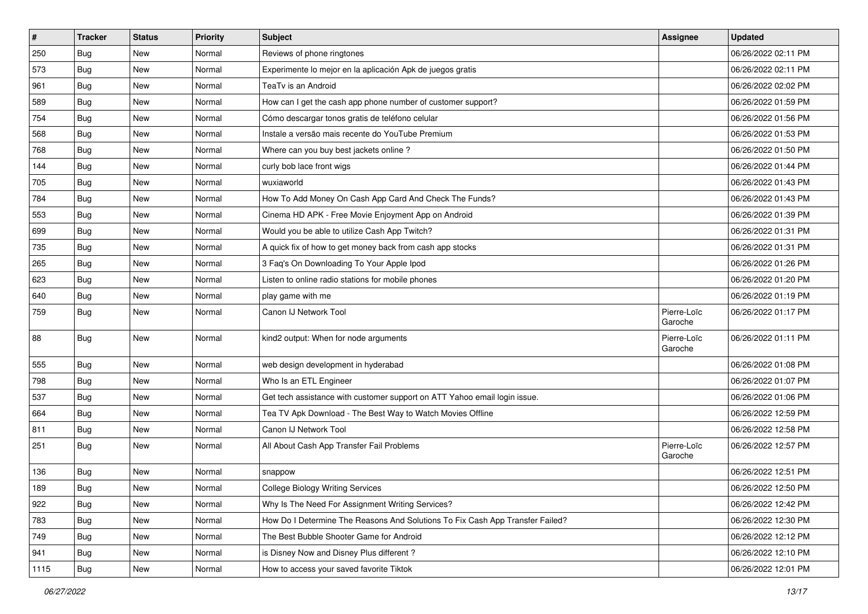| $\sharp$ | <b>Tracker</b> | <b>Status</b> | <b>Priority</b> | <b>Subject</b>                                                                | <b>Assignee</b>        | <b>Updated</b>      |
|----------|----------------|---------------|-----------------|-------------------------------------------------------------------------------|------------------------|---------------------|
| 250      | <b>Bug</b>     | New           | Normal          | Reviews of phone ringtones                                                    |                        | 06/26/2022 02:11 PM |
| 573      | <b>Bug</b>     | New           | Normal          | Experimente lo mejor en la aplicación Apk de juegos gratis                    |                        | 06/26/2022 02:11 PM |
| 961      | <b>Bug</b>     | New           | Normal          | TeaTv is an Android                                                           |                        | 06/26/2022 02:02 PM |
| 589      | <b>Bug</b>     | New           | Normal          | How can I get the cash app phone number of customer support?                  |                        | 06/26/2022 01:59 PM |
| 754      | <b>Bug</b>     | <b>New</b>    | Normal          | Cómo descargar tonos gratis de teléfono celular                               |                        | 06/26/2022 01:56 PM |
| 568      | <b>Bug</b>     | New           | Normal          | Instale a versão mais recente do YouTube Premium                              |                        | 06/26/2022 01:53 PM |
| 768      | <b>Bug</b>     | New           | Normal          | Where can you buy best jackets online?                                        |                        | 06/26/2022 01:50 PM |
| 144      | <b>Bug</b>     | New           | Normal          | curly bob lace front wigs                                                     |                        | 06/26/2022 01:44 PM |
| 705      | <b>Bug</b>     | New           | Normal          | wuxiaworld                                                                    |                        | 06/26/2022 01:43 PM |
| 784      | Bug            | <b>New</b>    | Normal          | How To Add Money On Cash App Card And Check The Funds?                        |                        | 06/26/2022 01:43 PM |
| 553      | <b>Bug</b>     | New           | Normal          | Cinema HD APK - Free Movie Enjoyment App on Android                           |                        | 06/26/2022 01:39 PM |
| 699      | <b>Bug</b>     | New           | Normal          | Would you be able to utilize Cash App Twitch?                                 |                        | 06/26/2022 01:31 PM |
| 735      | Bug            | New           | Normal          | A quick fix of how to get money back from cash app stocks                     |                        | 06/26/2022 01:31 PM |
| 265      | <b>Bug</b>     | New           | Normal          | 3 Faq's On Downloading To Your Apple Ipod                                     |                        | 06/26/2022 01:26 PM |
| 623      | <b>Bug</b>     | New           | Normal          | Listen to online radio stations for mobile phones                             |                        | 06/26/2022 01:20 PM |
| 640      | <b>Bug</b>     | New           | Normal          | play game with me                                                             |                        | 06/26/2022 01:19 PM |
| 759      | Bug            | New           | Normal          | Canon IJ Network Tool                                                         | Pierre-Loïc<br>Garoche | 06/26/2022 01:17 PM |
| 88       | Bug            | New           | Normal          | kind2 output: When for node arguments                                         | Pierre-Loïc<br>Garoche | 06/26/2022 01:11 PM |
| 555      | Bug            | <b>New</b>    | Normal          | web design development in hyderabad                                           |                        | 06/26/2022 01:08 PM |
| 798      | <b>Bug</b>     | New           | Normal          | Who Is an ETL Engineer                                                        |                        | 06/26/2022 01:07 PM |
| 537      | <b>Bug</b>     | New           | Normal          | Get tech assistance with customer support on ATT Yahoo email login issue.     |                        | 06/26/2022 01:06 PM |
| 664      | <b>Bug</b>     | New           | Normal          | Tea TV Apk Download - The Best Way to Watch Movies Offline                    |                        | 06/26/2022 12:59 PM |
| 811      | <b>Bug</b>     | New           | Normal          | Canon IJ Network Tool                                                         |                        | 06/26/2022 12:58 PM |
| 251      | <b>Bug</b>     | New           | Normal          | All About Cash App Transfer Fail Problems                                     | Pierre-Loïc<br>Garoche | 06/26/2022 12:57 PM |
| 136      | Bug            | New           | Normal          | snappow                                                                       |                        | 06/26/2022 12:51 PM |
| 189      | Bug            | New           | Normal          | <b>College Biology Writing Services</b>                                       |                        | 06/26/2022 12:50 PM |
| 922      | Bug            | New           | Normal          | Why Is The Need For Assignment Writing Services?                              |                        | 06/26/2022 12:42 PM |
| 783      | Bug            | New           | Normal          | How Do I Determine The Reasons And Solutions To Fix Cash App Transfer Failed? |                        | 06/26/2022 12:30 PM |
| 749      | <b>Bug</b>     | New           | Normal          | The Best Bubble Shooter Game for Android                                      |                        | 06/26/2022 12:12 PM |
| 941      | Bug            | New           | Normal          | is Disney Now and Disney Plus different?                                      |                        | 06/26/2022 12:10 PM |
| 1115     | <b>Bug</b>     | New           | Normal          | How to access your saved favorite Tiktok                                      |                        | 06/26/2022 12:01 PM |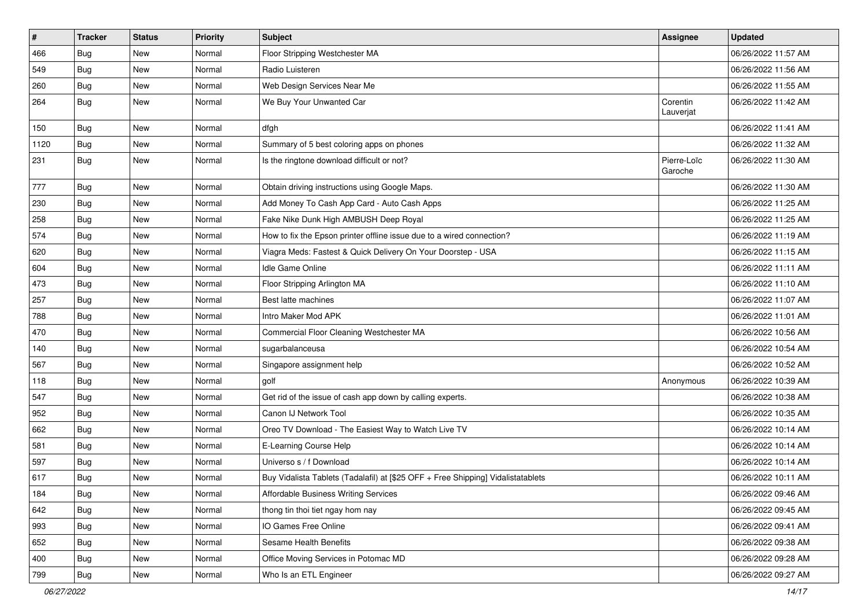| $\vert$ # | <b>Tracker</b> | <b>Status</b> | <b>Priority</b> | <b>Subject</b>                                                                   | <b>Assignee</b>        | <b>Updated</b>      |
|-----------|----------------|---------------|-----------------|----------------------------------------------------------------------------------|------------------------|---------------------|
| 466       | <b>Bug</b>     | New           | Normal          | Floor Stripping Westchester MA                                                   |                        | 06/26/2022 11:57 AM |
| 549       | <b>Bug</b>     | <b>New</b>    | Normal          | Radio Luisteren                                                                  |                        | 06/26/2022 11:56 AM |
| 260       | <b>Bug</b>     | New           | Normal          | Web Design Services Near Me                                                      |                        | 06/26/2022 11:55 AM |
| 264       | Bug            | New           | Normal          | We Buy Your Unwanted Car                                                         | Corentin<br>Lauverjat  | 06/26/2022 11:42 AM |
| 150       | Bug            | New           | Normal          | dfgh                                                                             |                        | 06/26/2022 11:41 AM |
| 1120      | Bug            | <b>New</b>    | Normal          | Summary of 5 best coloring apps on phones                                        |                        | 06/26/2022 11:32 AM |
| 231       | <b>Bug</b>     | New           | Normal          | Is the ringtone download difficult or not?                                       | Pierre-Loïc<br>Garoche | 06/26/2022 11:30 AM |
| 777       | Bug            | <b>New</b>    | Normal          | Obtain driving instructions using Google Maps.                                   |                        | 06/26/2022 11:30 AM |
| 230       | <b>Bug</b>     | New           | Normal          | Add Money To Cash App Card - Auto Cash Apps                                      |                        | 06/26/2022 11:25 AM |
| 258       | <b>Bug</b>     | New           | Normal          | Fake Nike Dunk High AMBUSH Deep Royal                                            |                        | 06/26/2022 11:25 AM |
| 574       | Bug            | New           | Normal          | How to fix the Epson printer offline issue due to a wired connection?            |                        | 06/26/2022 11:19 AM |
| 620       | <b>Bug</b>     | New           | Normal          | Viagra Meds: Fastest & Quick Delivery On Your Doorstep - USA                     |                        | 06/26/2022 11:15 AM |
| 604       | Bug            | New           | Normal          | Idle Game Online                                                                 |                        | 06/26/2022 11:11 AM |
| 473       | <b>Bug</b>     | New           | Normal          | Floor Stripping Arlington MA                                                     |                        | 06/26/2022 11:10 AM |
| 257       | <b>Bug</b>     | New           | Normal          | Best latte machines                                                              |                        | 06/26/2022 11:07 AM |
| 788       | Bug            | New           | Normal          | Intro Maker Mod APK                                                              |                        | 06/26/2022 11:01 AM |
| 470       | <b>Bug</b>     | New           | Normal          | Commercial Floor Cleaning Westchester MA                                         |                        | 06/26/2022 10:56 AM |
| 140       | Bug            | New           | Normal          | sugarbalanceusa                                                                  |                        | 06/26/2022 10:54 AM |
| 567       | <b>Bug</b>     | New           | Normal          | Singapore assignment help                                                        |                        | 06/26/2022 10:52 AM |
| 118       | <b>Bug</b>     | New           | Normal          | golf                                                                             | Anonymous              | 06/26/2022 10:39 AM |
| 547       | Bug            | <b>New</b>    | Normal          | Get rid of the issue of cash app down by calling experts.                        |                        | 06/26/2022 10:38 AM |
| 952       | <b>Bug</b>     | New           | Normal          | Canon IJ Network Tool                                                            |                        | 06/26/2022 10:35 AM |
| 662       | Bug            | New           | Normal          | Oreo TV Download - The Easiest Way to Watch Live TV                              |                        | 06/26/2022 10:14 AM |
| 581       | Bug            | New           | Normal          | E-Learning Course Help                                                           |                        | 06/26/2022 10:14 AM |
| 597       | <b>Bug</b>     | New           | Normal          | Universo s / f Download                                                          |                        | 06/26/2022 10:14 AM |
| 617       | <b>Bug</b>     | <b>New</b>    | Normal          | Buy Vidalista Tablets (Tadalafil) at [\$25 OFF + Free Shipping] Vidalistatablets |                        | 06/26/2022 10:11 AM |
| 184       | <b>Bug</b>     | New           | Normal          | Affordable Business Writing Services                                             |                        | 06/26/2022 09:46 AM |
| 642       | Bug            | New           | Normal          | thong tin thoi tiet ngay hom nay                                                 |                        | 06/26/2022 09:45 AM |
| 993       | <b>Bug</b>     | New           | Normal          | IO Games Free Online                                                             |                        | 06/26/2022 09:41 AM |
| 652       | Bug            | New           | Normal          | Sesame Health Benefits                                                           |                        | 06/26/2022 09:38 AM |
| 400       | Bug            | New           | Normal          | Office Moving Services in Potomac MD                                             |                        | 06/26/2022 09:28 AM |
| 799       | Bug            | New           | Normal          | Who Is an ETL Engineer                                                           |                        | 06/26/2022 09:27 AM |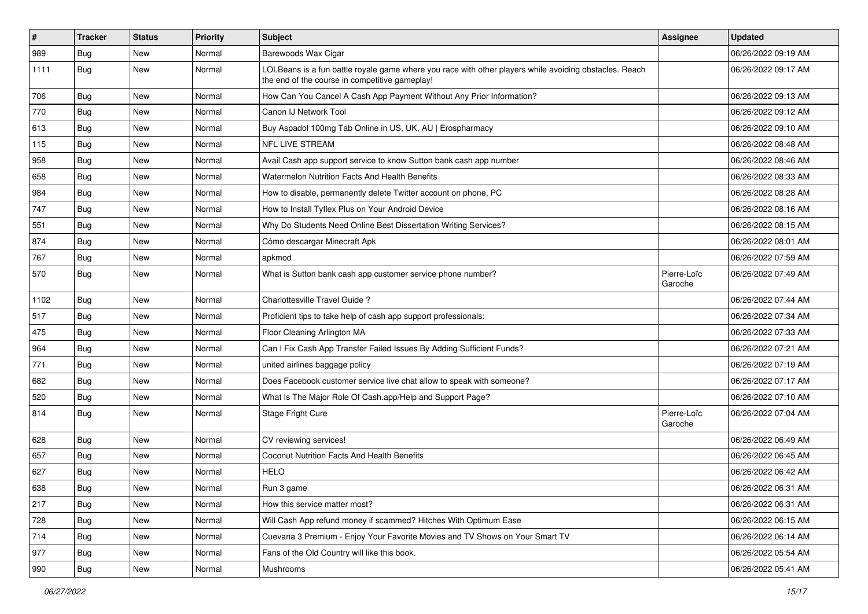| $\sharp$ | <b>Tracker</b> | <b>Status</b> | <b>Priority</b> | Subject                                                                                                                                                  | Assignee               | <b>Updated</b>      |
|----------|----------------|---------------|-----------------|----------------------------------------------------------------------------------------------------------------------------------------------------------|------------------------|---------------------|
| 989      | <b>Bug</b>     | New           | Normal          | Barewoods Wax Cigar                                                                                                                                      |                        | 06/26/2022 09:19 AM |
| 1111     | Bug            | New           | Normal          | LOLBeans is a fun battle royale game where you race with other players while avoiding obstacles. Reach<br>the end of the course in competitive gameplay! |                        | 06/26/2022 09:17 AM |
| 706      | Bug            | New           | Normal          | How Can You Cancel A Cash App Payment Without Any Prior Information?                                                                                     |                        | 06/26/2022 09:13 AM |
| 770      | Bug            | New           | Normal          | Canon IJ Network Tool                                                                                                                                    |                        | 06/26/2022 09:12 AM |
| 613      | <b>Bug</b>     | New           | Normal          | Buy Aspadol 100mg Tab Online in US, UK, AU   Erospharmacy                                                                                                |                        | 06/26/2022 09:10 AM |
| 115      | Bug            | New           | Normal          | NFL LIVE STREAM                                                                                                                                          |                        | 06/26/2022 08:48 AM |
| 958      | Bug            | New           | Normal          | Avail Cash app support service to know Sutton bank cash app number                                                                                       |                        | 06/26/2022 08:46 AM |
| 658      | <b>Bug</b>     | New           | Normal          | Watermelon Nutrition Facts And Health Benefits                                                                                                           |                        | 06/26/2022 08:33 AM |
| 984      | Bug            | <b>New</b>    | Normal          | How to disable, permanently delete Twitter account on phone, PC                                                                                          |                        | 06/26/2022 08:28 AM |
| 747      | Bug            | New           | Normal          | How to Install Tyflex Plus on Your Android Device                                                                                                        |                        | 06/26/2022 08:16 AM |
| 551      | <b>Bug</b>     | New           | Normal          | Why Do Students Need Online Best Dissertation Writing Services?                                                                                          |                        | 06/26/2022 08:15 AM |
| 874      | Bug            | New           | Normal          | Cómo descargar Minecraft Apk                                                                                                                             |                        | 06/26/2022 08:01 AM |
| 767      | <b>Bug</b>     | New           | Normal          | apkmod                                                                                                                                                   |                        | 06/26/2022 07:59 AM |
| 570      | Bug            | New           | Normal          | What is Sutton bank cash app customer service phone number?                                                                                              | Pierre-Loïc<br>Garoche | 06/26/2022 07:49 AM |
| 1102     | Bug            | New           | Normal          | Charlottesville Travel Guide?                                                                                                                            |                        | 06/26/2022 07:44 AM |
| 517      | Bug            | New           | Normal          | Proficient tips to take help of cash app support professionals:                                                                                          |                        | 06/26/2022 07:34 AM |
| 475      | <b>Bug</b>     | New           | Normal          | Floor Cleaning Arlington MA                                                                                                                              |                        | 06/26/2022 07:33 AM |
| 964      | Bug            | New           | Normal          | Can I Fix Cash App Transfer Failed Issues By Adding Sufficient Funds?                                                                                    |                        | 06/26/2022 07:21 AM |
| 771      | Bug            | New           | Normal          | united airlines baggage policy                                                                                                                           |                        | 06/26/2022 07:19 AM |
| 682      | Bug            | New           | Normal          | Does Facebook customer service live chat allow to speak with someone?                                                                                    |                        | 06/26/2022 07:17 AM |
| 520      | <b>Bug</b>     | New           | Normal          | What Is The Major Role Of Cash.app/Help and Support Page?                                                                                                |                        | 06/26/2022 07:10 AM |
| 814      | Bug            | New           | Normal          | Stage Fright Cure                                                                                                                                        | Pierre-Loïc<br>Garoche | 06/26/2022 07:04 AM |
| 628      | Bug            | New           | Normal          | CV reviewing services!                                                                                                                                   |                        | 06/26/2022 06:49 AM |
| 657      | <b>Bug</b>     | New           | Normal          | Coconut Nutrition Facts And Health Benefits                                                                                                              |                        | 06/26/2022 06:45 AM |
| 627      | <b>Bug</b>     | New           | Normal          | <b>HELO</b>                                                                                                                                              |                        | 06/26/2022 06:42 AM |
| 638      | Bug            | New           | Normal          | Run 3 game                                                                                                                                               |                        | 06/26/2022 06:31 AM |
| 217      | Bug            | New           | Normal          | How this service matter most?                                                                                                                            |                        | 06/26/2022 06:31 AM |
| 728      | <b>Bug</b>     | New           | Normal          | Will Cash App refund money if scammed? Hitches With Optimum Ease                                                                                         |                        | 06/26/2022 06:15 AM |
| 714      | Bug            | New           | Normal          | Cuevana 3 Premium - Enjoy Your Favorite Movies and TV Shows on Your Smart TV                                                                             |                        | 06/26/2022 06:14 AM |
| 977      | Bug            | New           | Normal          | Fans of the Old Country will like this book.                                                                                                             |                        | 06/26/2022 05:54 AM |
| 990      | <b>Bug</b>     | New           | Normal          | Mushrooms                                                                                                                                                |                        | 06/26/2022 05:41 AM |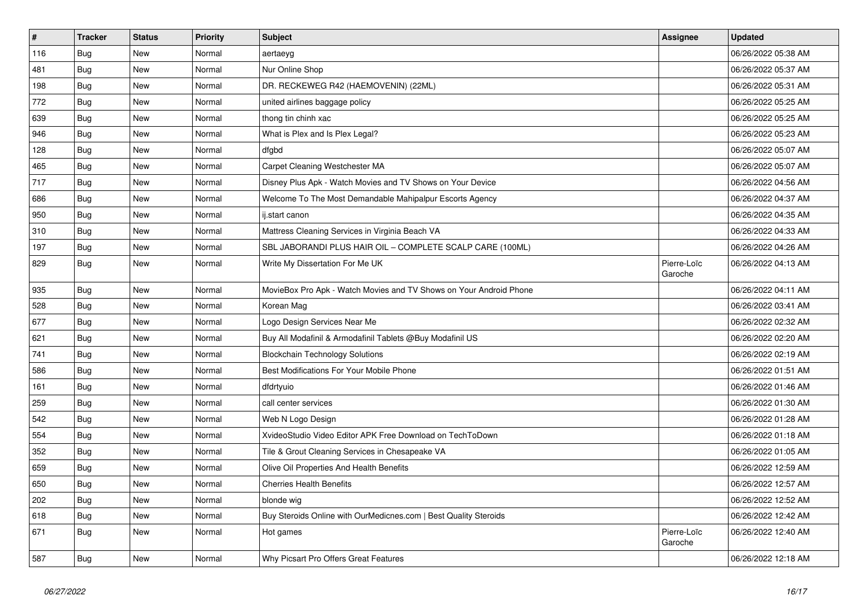| $\vert$ # | <b>Tracker</b> | <b>Status</b> | <b>Priority</b> | <b>Subject</b>                                                     | <b>Assignee</b>        | <b>Updated</b>      |
|-----------|----------------|---------------|-----------------|--------------------------------------------------------------------|------------------------|---------------------|
| 116       | Bug            | <b>New</b>    | Normal          | aertaeyg                                                           |                        | 06/26/2022 05:38 AM |
| 481       | <b>Bug</b>     | New           | Normal          | Nur Online Shop                                                    |                        | 06/26/2022 05:37 AM |
| 198       | Bug            | New           | Normal          | DR. RECKEWEG R42 (HAEMOVENIN) (22ML)                               |                        | 06/26/2022 05:31 AM |
| 772       | <b>Bug</b>     | New           | Normal          | united airlines baggage policy                                     |                        | 06/26/2022 05:25 AM |
| 639       | <b>Bug</b>     | <b>New</b>    | Normal          | thong tin chinh xac                                                |                        | 06/26/2022 05:25 AM |
| 946       | Bug            | <b>New</b>    | Normal          | What is Plex and Is Plex Legal?                                    |                        | 06/26/2022 05:23 AM |
| 128       | Bug            | <b>New</b>    | Normal          | dfgbd                                                              |                        | 06/26/2022 05:07 AM |
| 465       | Bug            | New           | Normal          | Carpet Cleaning Westchester MA                                     |                        | 06/26/2022 05:07 AM |
| 717       | <b>Bug</b>     | New           | Normal          | Disney Plus Apk - Watch Movies and TV Shows on Your Device         |                        | 06/26/2022 04:56 AM |
| 686       | Bug            | <b>New</b>    | Normal          | Welcome To The Most Demandable Mahipalpur Escorts Agency           |                        | 06/26/2022 04:37 AM |
| 950       | Bug            | <b>New</b>    | Normal          | ij.start canon                                                     |                        | 06/26/2022 04:35 AM |
| 310       | Bug            | New           | Normal          | Mattress Cleaning Services in Virginia Beach VA                    |                        | 06/26/2022 04:33 AM |
| 197       | <b>Bug</b>     | New           | Normal          | SBL JABORANDI PLUS HAIR OIL - COMPLETE SCALP CARE (100ML)          |                        | 06/26/2022 04:26 AM |
| 829       | <b>Bug</b>     | New           | Normal          | Write My Dissertation For Me UK                                    | Pierre-Loïc<br>Garoche | 06/26/2022 04:13 AM |
| 935       | Bug            | New           | Normal          | MovieBox Pro Apk - Watch Movies and TV Shows on Your Android Phone |                        | 06/26/2022 04:11 AM |
| 528       | <b>Bug</b>     | <b>New</b>    | Normal          | Korean Mag                                                         |                        | 06/26/2022 03:41 AM |
| 677       | <b>Bug</b>     | <b>New</b>    | Normal          | Logo Design Services Near Me                                       |                        | 06/26/2022 02:32 AM |
| 621       | Bug            | New           | Normal          | Buy All Modafinil & Armodafinil Tablets @Buy Modafinil US          |                        | 06/26/2022 02:20 AM |
| 741       | Bug            | New           | Normal          | <b>Blockchain Technology Solutions</b>                             |                        | 06/26/2022 02:19 AM |
| 586       | Bug            | <b>New</b>    | Normal          | Best Modifications For Your Mobile Phone                           |                        | 06/26/2022 01:51 AM |
| 161       | Bug            | New           | Normal          | dfdrtyuio                                                          |                        | 06/26/2022 01:46 AM |
| 259       | <b>Bug</b>     | New           | Normal          | call center services                                               |                        | 06/26/2022 01:30 AM |
| 542       | Bug            | New           | Normal          | Web N Logo Design                                                  |                        | 06/26/2022 01:28 AM |
| 554       | Bug            | <b>New</b>    | Normal          | XvideoStudio Video Editor APK Free Download on TechToDown          |                        | 06/26/2022 01:18 AM |
| 352       | Bug            | New           | Normal          | Tile & Grout Cleaning Services in Chesapeake VA                    |                        | 06/26/2022 01:05 AM |
| 659       | Bug            | New           | Normal          | Olive Oil Properties And Health Benefits                           |                        | 06/26/2022 12:59 AM |
| 650       | <b>Bug</b>     | New           | Normal          | <b>Cherries Health Benefits</b>                                    |                        | 06/26/2022 12:57 AM |
| 202       | Bug            | <b>New</b>    | Normal          | blonde wig                                                         |                        | 06/26/2022 12:52 AM |
| 618       | Bug            | New           | Normal          | Buy Steroids Online with OurMedicnes.com   Best Quality Steroids   |                        | 06/26/2022 12:42 AM |
| 671       | <b>Bug</b>     | New           | Normal          | Hot games                                                          | Pierre-Loïc<br>Garoche | 06/26/2022 12:40 AM |
| 587       | Bug            | <b>New</b>    | Normal          | Why Picsart Pro Offers Great Features                              |                        | 06/26/2022 12:18 AM |